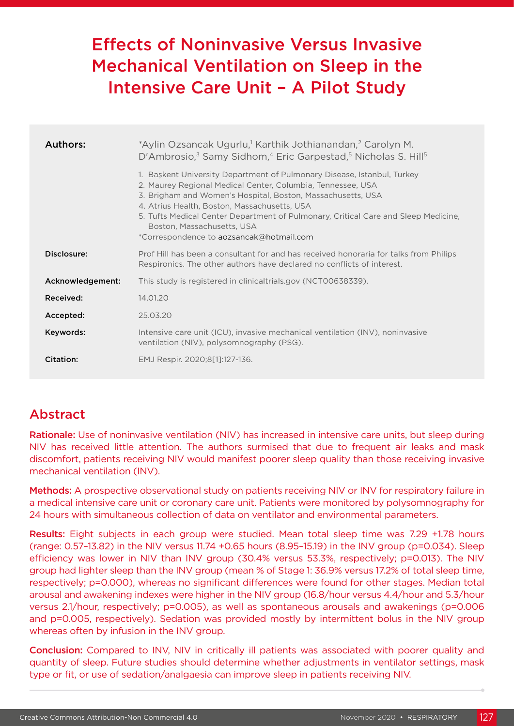# Effects of Noninvasive Versus Invasive Mechanical Ventilation on Sleep in the Intensive Care Unit – A Pilot Study

| Authors:         | *Aylin Ozsancak Ugurlu, <sup>1</sup> Karthik Jothianandan, <sup>2</sup> Carolyn M.<br>D'Ambrosio, <sup>3</sup> Samy Sidhom, <sup>4</sup> Eric Garpestad, <sup>5</sup> Nicholas S. Hill <sup>5</sup>                                                                                                                                                                                                                   |  |  |
|------------------|-----------------------------------------------------------------------------------------------------------------------------------------------------------------------------------------------------------------------------------------------------------------------------------------------------------------------------------------------------------------------------------------------------------------------|--|--|
|                  | 1. Baskent University Department of Pulmonary Disease, Istanbul, Turkey<br>2. Maurey Regional Medical Center, Columbia, Tennessee, USA<br>3. Brigham and Women's Hospital, Boston, Massachusetts, USA<br>4. Atrius Health, Boston, Massachusetts, USA<br>5. Tufts Medical Center Department of Pulmonary, Critical Care and Sleep Medicine,<br>Boston, Massachusetts, USA<br>*Correspondence to aozsancak@hotmail.com |  |  |
| Disclosure:      | Prof Hill has been a consultant for and has received honoraria for talks from Philips<br>Respironics. The other authors have declared no conflicts of interest.                                                                                                                                                                                                                                                       |  |  |
| Acknowledgement: | This study is registered in clinicaltrials.gov (NCT00638339).                                                                                                                                                                                                                                                                                                                                                         |  |  |
| Received:        | 14.01.20                                                                                                                                                                                                                                                                                                                                                                                                              |  |  |
| Accepted:        | 25.03.20                                                                                                                                                                                                                                                                                                                                                                                                              |  |  |
| Keywords:        | Intensive care unit (ICU), invasive mechanical ventilation (INV), noninvasive<br>ventilation (NIV), polysomnography (PSG).                                                                                                                                                                                                                                                                                            |  |  |
| Citation:        | EMJ Respir. 2020;8[1]:127-136.                                                                                                                                                                                                                                                                                                                                                                                        |  |  |

## Abstract

Rationale: Use of noninvasive ventilation (NIV) has increased in intensive care units, but sleep during NIV has received little attention. The authors surmised that due to frequent air leaks and mask discomfort, patients receiving NIV would manifest poorer sleep quality than those receiving invasive mechanical ventilation (INV).

Methods: A prospective observational study on patients receiving NIV or INV for respiratory failure in a medical intensive care unit or coronary care unit. Patients were monitored by polysomnography for 24 hours with simultaneous collection of data on ventilator and environmental parameters.

Results: Eight subjects in each group were studied. Mean total sleep time was 7.29 +1.78 hours (range: 0.57–13.82) in the NIV versus 11.74 +0.65 hours (8.95–15.19) in the INV group (p=0.034). Sleep efficiency was lower in NIV than INV group (30.4% versus 53.3%, respectively; p=0.013). The NIV group had lighter sleep than the INV group (mean % of Stage 1: 36.9% versus 17.2% of total sleep time, respectively; p=0.000), whereas no significant differences were found for other stages. Median total arousal and awakening indexes were higher in the NIV group (16.8/hour versus 4.4/hour and 5.3/hour versus 2.1/hour, respectively; p=0.005), as well as spontaneous arousals and awakenings (p=0.006 and p=0.005, respectively). Sedation was provided mostly by intermittent bolus in the NIV group whereas often by infusion in the INV group.

Conclusion: Compared to INV, NIV in critically ill patients was associated with poorer quality and quantity of sleep. Future studies should determine whether adjustments in ventilator settings, mask type or fit, or use of sedation/analgaesia can improve sleep in patients receiving NIV.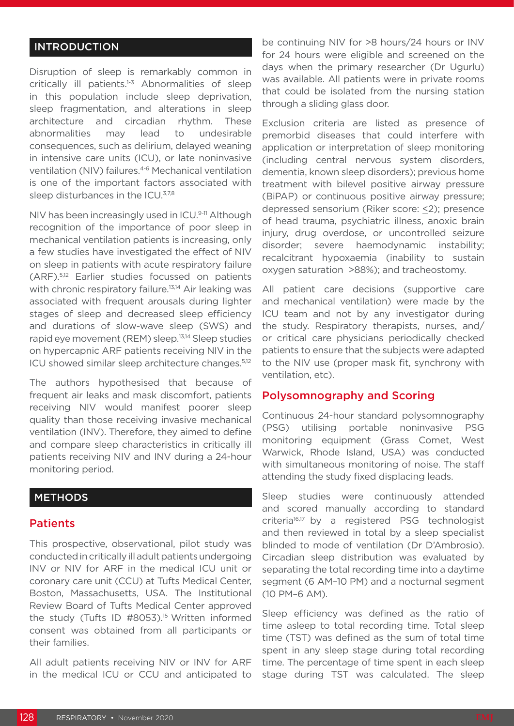#### INTRODUCTION

Disruption of sleep is remarkably common in critically ill patients. $1-3$  Abnormalities of sleep in this population include sleep deprivation, sleep fragmentation, and alterations in sleep architecture and circadian rhythm. These abnormalities may lead to undesirable consequences, such as delirium, delayed weaning in intensive care units (ICU), or late noninvasive ventilation (NIV) failures.<sup>4-6</sup> Mechanical ventilation is one of the important factors associated with sleep disturbances in the ICU.<sup>3,7,8</sup>

NIV has been increasingly used in ICU.<sup>9-11</sup> Although recognition of the importance of poor sleep in mechanical ventilation patients is increasing, only a few studies have investigated the effect of NIV on sleep in patients with acute respiratory failure (ARF).5,12 Earlier studies focussed on patients with chronic respiratory failure.<sup>13,14</sup> Air leaking was associated with frequent arousals during lighter stages of sleep and decreased sleep efficiency and durations of slow-wave sleep (SWS) and rapid eye movement (REM) sleep.13,14 Sleep studies on hypercapnic ARF patients receiving NIV in the ICU showed similar sleep architecture changes.5,12

The authors hypothesised that because of frequent air leaks and mask discomfort, patients receiving NIV would manifest poorer sleep quality than those receiving invasive mechanical ventilation (INV). Therefore, they aimed to define and compare sleep characteristics in critically ill patients receiving NIV and INV during a 24-hour monitoring period.

#### **METHODS**

#### **Patients**

This prospective, observational, pilot study was conducted in critically ill adult patients undergoing INV or NIV for ARF in the medical ICU unit or coronary care unit (CCU) at Tufts Medical Center, Boston, Massachusetts, USA. The Institutional Review Board of Tufts Medical Center approved the study (Tufts ID #8053).<sup>15</sup> Written informed consent was obtained from all participants or their families.

All adult patients receiving NIV or INV for ARF in the medical ICU or CCU and anticipated to

be continuing NIV for >8 hours/24 hours or INV for 24 hours were eligible and screened on the days when the primary researcher (Dr Ugurlu) was available. All patients were in private rooms that could be isolated from the nursing station through a sliding glass door.

Exclusion criteria are listed as presence of premorbid diseases that could interfere with application or interpretation of sleep monitoring (including central nervous system disorders, dementia, known sleep disorders); previous home treatment with bilevel positive airway pressure (BiPAP) or continuous positive airway pressure; depressed sensorium (Riker score: <2); presence of head trauma, psychiatric illness, anoxic brain injury, drug overdose, or uncontrolled seizure disorder; severe haemodynamic instability; recalcitrant hypoxaemia (inability to sustain oxygen saturation >88%); and tracheostomy.

All patient care decisions (supportive care and mechanical ventilation) were made by the ICU team and not by any investigator during the study. Respiratory therapists, nurses, and/ or critical care physicians periodically checked patients to ensure that the subjects were adapted to the NIV use (proper mask fit, synchrony with ventilation, etc).

#### Polysomnography and Scoring

Continuous 24-hour standard polysomnography (PSG) utilising portable noninvasive PSG monitoring equipment (Grass Comet, West Warwick, Rhode Island, USA) was conducted with simultaneous monitoring of noise. The staff attending the study fixed displacing leads.

Sleep studies were continuously attended and scored manually according to standard criteria16,17 by a registered PSG technologist and then reviewed in total by a sleep specialist blinded to mode of ventilation (Dr D'Ambrosio). Circadian sleep distribution was evaluated by separating the total recording time into a daytime segment (6 AM–10 PM) and a nocturnal segment (10 PM–6 AM).

Sleep efficiency was defined as the ratio of time asleep to total recording time. Total sleep time (TST) was defined as the sum of total time spent in any sleep stage during total recording time. The percentage of time spent in each sleep stage during TST was calculated. The sleep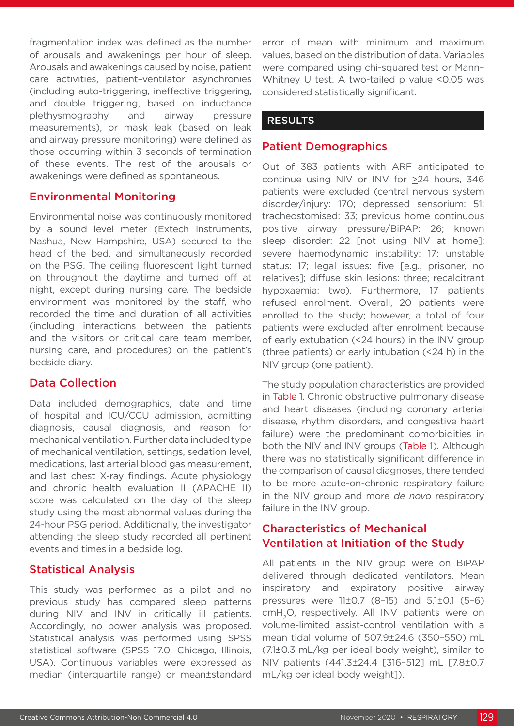fragmentation index was defined as the number of arousals and awakenings per hour of sleep. Arousals and awakenings caused by noise, patient care activities, patient–ventilator asynchronies (including auto-triggering, ineffective triggering, and double triggering, based on inductance plethysmography and airway pressure measurements), or mask leak (based on leak and airway pressure monitoring) were defined as those occurring within 3 seconds of termination of these events. The rest of the arousals or awakenings were defined as spontaneous.

#### Environmental Monitoring

Environmental noise was continuously monitored by a sound level meter (Extech Instruments, Nashua, New Hampshire, USA) secured to the head of the bed, and simultaneously recorded on the PSG. The ceiling fluorescent light turned on throughout the daytime and turned off at night, except during nursing care. The bedside environment was monitored by the staff, who recorded the time and duration of all activities (including interactions between the patients and the visitors or critical care team member, nursing care, and procedures) on the patient's bedside diary.

#### Data Collection

Data included demographics, date and time of hospital and ICU/CCU admission, admitting diagnosis, causal diagnosis, and reason for mechanical ventilation. Further data included type of mechanical ventilation, settings, sedation level, medications, last arterial blood gas measurement, and last chest X-ray findings. Acute physiology and chronic health evaluation II (APACHE II) score was calculated on the day of the sleep study using the most abnormal values during the 24-hour PSG period. Additionally, the investigator attending the sleep study recorded all pertinent events and times in a bedside log.

#### Statistical Analysis

This study was performed as a pilot and no previous study has compared sleep patterns during NIV and INV in critically ill patients. Accordingly, no power analysis was proposed. Statistical analysis was performed using SPSS statistical software (SPSS 17.0, Chicago, Illinois, USA). Continuous variables were expressed as median (interquartile range) or mean±standard error of mean with minimum and maximum values, based on the distribution of data. Variables were compared using chi-squared test or Mann– Whitney U test. A two-tailed p value <0.05 was considered statistically significant.

#### RESULTS

#### Patient Demographics

Out of 383 patients with ARF anticipated to continue using NIV or INV for  $\geq 24$  hours, 346 patients were excluded (central nervous system disorder/injury: 170; depressed sensorium: 51; tracheostomised: 33; previous home continuous positive airway pressure/BiPAP: 26; known sleep disorder: 22 [not using NIV at home]; severe haemodynamic instability: 17; unstable status: 17; legal issues: five [e.g., prisoner, no relatives]; diffuse skin lesions: three; recalcitrant hypoxaemia: two). Furthermore, 17 patients refused enrolment. Overall, 20 patients were enrolled to the study; however, a total of four patients were excluded after enrolment because of early extubation (<24 hours) in the INV group (three patients) or early intubation (<24 h) in the NIV group (one patient).

The study population characteristics are provided in Table 1. Chronic obstructive pulmonary disease and heart diseases (including coronary arterial disease, rhythm disorders, and congestive heart failure) were the predominant comorbidities in both the NIV and INV groups (Table 1). Although there was no statistically significant difference in the comparison of causal diagnoses, there tended to be more acute-on-chronic respiratory failure in the NIV group and more *de novo* respiratory failure in the INV group.

## Characteristics of Mechanical Ventilation at Initiation of the Study

All patients in the NIV group were on BiPAP delivered through dedicated ventilators. Mean inspiratory and expiratory positive airway pressures were 11±0.7 (8–15) and 5.1±0.1 (5–6) cmH<sub>2</sub>O, respectively. All INV patients were on volume-limited assist-control ventilation with a mean tidal volume of 507.9±24.6 (350–550) mL (7.1±0.3 mL/kg per ideal body weight), similar to NIV patients (441.3±24.4 [316–512] mL [7.8±0.7 mL/kg per ideal body weight]).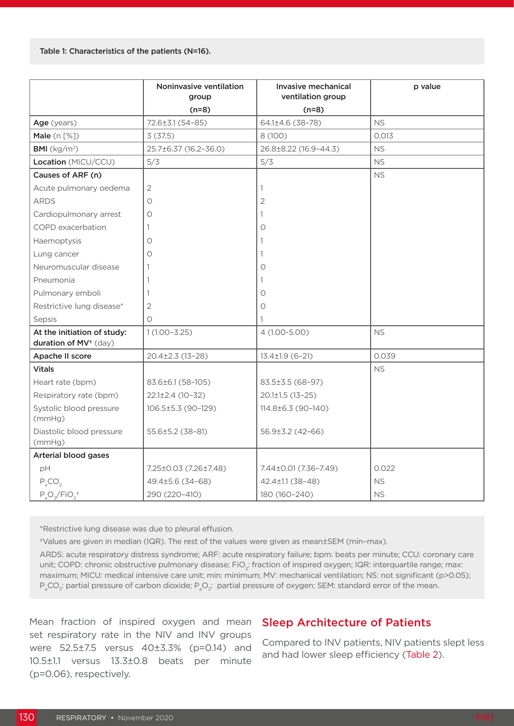|                                                                  | Noninvasive ventilation<br>group | Invasive mechanical<br>ventilation group | p value   |
|------------------------------------------------------------------|----------------------------------|------------------------------------------|-----------|
|                                                                  | $(n=8)$                          | $(n=8)$                                  |           |
| Age (years)                                                      | 72.6±3.1 (54-85)                 | 64.1±4.6 (38-78)                         | <b>NS</b> |
| Male $(n [%)$                                                    | 3(37.5)                          | 8 (100)                                  | 0.013     |
| <b>BMI</b> ( $kg/m2$ )                                           | 25.7±6.37 (16.2-36.0)            | 26.8±8.22 (16.9-44.3)                    | <b>NS</b> |
| Location (MICU/CCU)                                              | 5/3                              | 5/3                                      | <b>NS</b> |
| Causes of ARF (n)                                                |                                  |                                          | <b>NS</b> |
| Acute pulmonary oedema                                           | $\overline{2}$                   | $\mathbf{1}$                             |           |
| <b>ARDS</b>                                                      | $\circ$                          | $\overline{2}$                           |           |
| Cardiopulmonary arrest                                           | $\circ$                          | 1                                        |           |
| COPD exacerbation                                                | 1                                | Ο                                        |           |
| Haemoptysis                                                      | О                                | 1                                        |           |
| Lung cancer                                                      | 0                                | 1                                        |           |
| Neuromuscular disease                                            | 1                                | 0                                        |           |
| Pneumonia                                                        | 1                                | 1.                                       |           |
| Pulmonary emboli                                                 | $\mathbf{1}$                     | 0                                        |           |
| Restrictive lung disease*                                        | 2                                | O                                        |           |
| Sepsis                                                           | $\circ$                          | 1                                        |           |
| At the initiation of study:<br>duration of MV <sup>+</sup> (day) | $1(1.00 - 3.25)$                 | 4 (1.00-5.00)                            | <b>NS</b> |
| Apache II score                                                  | 20.4±2.3 (13-28)                 | $13.4 \pm 1.9$ (6-21)                    | 0.039     |
| <b>Vitals</b>                                                    |                                  |                                          | <b>NS</b> |
| Heart rate (bpm)                                                 | 83.6±6.1 (58-105)                | 83.5±3.5 (68-97)                         |           |
| Respiratory rate (bpm)                                           | $22.1\pm2.4(10-32)$              | $20.1 \pm 1.5$ (13-25)                   |           |
| Systolic blood pressure<br>(mmHg)                                | 106.5±5.3 (90-129)               | 114.8±6.3 (90-140)                       |           |
| Diastolic blood pressure<br>(mmHg)                               | 55.6±5.2 (38-81)                 | 56.9±3.2 (42-66)                         |           |
| Arterial blood gases                                             |                                  |                                          |           |
| pH                                                               | 7.25±0.03 (7.26±7.48)            | 7.44±0.01 (7.36-7.49)                    | 0.022     |
| $P_{a}CO_{2}$                                                    | 49.4±5.6 (34-68)                 | 42.4±1.1 (38-48)                         | <b>NS</b> |
| $P_0O_2/FiO_2$ <sup>+</sup>                                      | 290 (220-410)                    | 180 (160-240)                            | <b>NS</b> |

\*Restrictive lung disease was due to pleural effusion.

†Values are given in median (IQR). The rest of the values were given as mean±SEM (min–max).

ARDS: acute respiratory distress syndrome; ARF: acute respiratory failure; bpm: beats per minute; CCU: coronary care unit; COPD: chronic obstructive pulmonary disease; FiO<sub>2</sub>: fraction of inspired oxygen; IQR: interquartile range; max: maximum; MICU: medical intensive care unit; min: minimum; MV: mechanical ventilation; NS: not significant (p>0.05); P $_{\rm a}$ CO $_{\rm 2}$ : partial pressure of carbon dioxide; P $_{\rm a}$ O $_{\rm 2}$ : partial pressure of oxygen; SEM: standard error of the mean.

Mean fraction of inspired oxygen and mean set respiratory rate in the NIV and INV groups were 52.5±7.5 versus 40±3.3% (p=0.14) and 10.5±1.1 versus 13.3±0.8 beats per minute (p=0.06), respectively.

#### Sleep Architecture of Patients

Compared to INV patients, NIV patients slept less and had lower sleep efficiency (Table 2).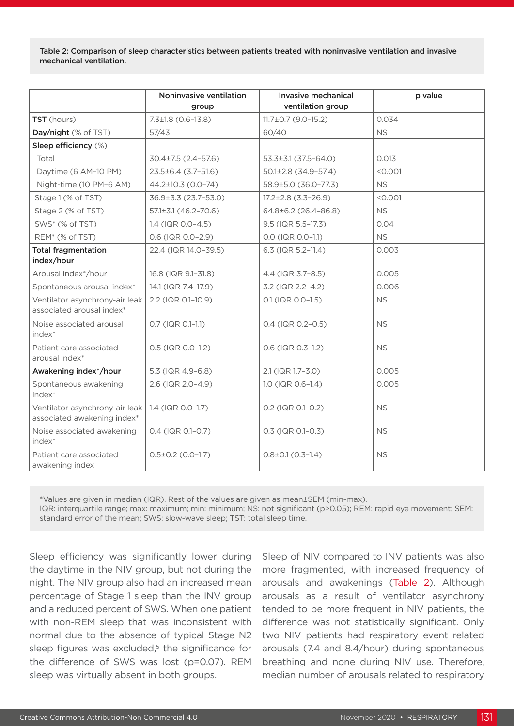Table 2: Comparison of sleep characteristics between patients treated with noninvasive ventilation and invasive mechanical ventilation.

|                                                               | Noninvasive ventilation<br>group | Invasive mechanical<br>ventilation group | p value   |
|---------------------------------------------------------------|----------------------------------|------------------------------------------|-----------|
| TST (hours)                                                   | $7.3 \pm 1.8$ (0.6-13.8)         | 11.7±0.7 (9.0-15.2)                      | 0.034     |
| Day/night (% of TST)                                          | 57/43                            | 60/40                                    | <b>NS</b> |
| Sleep efficiency (%)                                          |                                  |                                          |           |
| Total                                                         | $30.4 \pm 7.5$ (2.4-57.6)        | $53.3 \pm 3.1 (37.5 - 64.0)$             | 0.013     |
| Daytime (6 AM-10 PM)                                          | 23.5±6.4 (3.7-51.6)              | 50.1±2.8 (34.9-57.4)                     | < 0.001   |
| Night-time (10 PM-6 AM)                                       | 44.2±10.3 (0.0-74)               | 58.9±5.0 (36.0-77.3)                     | <b>NS</b> |
| Stage 1 (% of TST)                                            | 36.9±3.3 (23.7-53.0)             | $17.2 \pm 2.8$ (3.3-26.9)                | < 0.001   |
| Stage 2 (% of TST)                                            | $57.1 \pm 3.1 (46.2 - 70.6)$     | 64.8±6.2 (26.4-86.8)                     | <b>NS</b> |
| SWS <sup>*</sup> (% of TST)                                   | $1.4$ (IQR 0.0-4.5)              | 9.5 (IQR 5.5-17.3)                       | 0.04      |
| REM <sup>*</sup> (% of TST)                                   | 0.6 (IQR 0.0-2.9)                | 0.0 (IQR 0.0-1.1)                        | <b>NS</b> |
| <b>Total fragmentation</b><br>index/hour                      | 22.4 (IQR 14.0-39.5)             | 6.3 (IQR 5.2-11.4)                       | 0.003     |
| Arousal index*/hour                                           | 16.8 (IQR 9.1-31.8)              | 4.4 (IQR 3.7-8.5)                        | 0.005     |
| Spontaneous arousal index*                                    | 14.1 (IQR 7.4-17.9)              | 3.2 (IQR 2.2-4.2)                        | 0.006     |
| Ventilator asynchrony-air leak<br>associated arousal index*   | 2.2 (IQR 0.1-10.9)               | 0.1 (IQR 0.0-1.5)                        | <b>NS</b> |
| Noise associated arousal<br>index*                            | 0.7 (IQR 0.1-1.1)                | $0.4$ (IQR $0.2 - 0.5$ )                 | <b>NS</b> |
| Patient care associated<br>arousal index*                     | 0.5 (IQR 0.0-1.2)                | 0.6 (IQR 0.3-1.2)                        | <b>NS</b> |
| Awakening index*/hour                                         | 5.3 (IQR 4.9-6.8)                | 2.1 (IQR 1.7-3.0)                        | 0.005     |
| Spontaneous awakening<br>index*                               | 2.6 (IQR 2.0-4.9)                | 1.0 (IQR 0.6-1.4)                        | 0.005     |
| Ventilator asynchrony-air leak<br>associated awakening index* | 1.4 (IQR 0.0-1.7)                | 0.2 (IQR 0.1-0.2)                        | <b>NS</b> |
| Noise associated awakening<br>index*                          | $0.4$ (IQR $0.1 - 0.7$ )         | $0.3$ (IQR 0.1-0.3)                      | <b>NS</b> |
| Patient care associated<br>awakening index                    | $0.5\pm0.2$ (0.0-1.7)            | $0.8 \pm 0.1$ (0.3-1.4)                  | <b>NS</b> |

\*Values are given in median (IQR). Rest of the values are given as mean±SEM (min-max). IQR: interquartile range; max: maximum; min: minimum; NS: not significant (p>0.05); REM: rapid eye movement; SEM:

standard error of the mean; SWS: slow-wave sleep; TST: total sleep time.

Sleep efficiency was significantly lower during the daytime in the NIV group, but not during the night. The NIV group also had an increased mean percentage of Stage 1 sleep than the INV group and a reduced percent of SWS. When one patient with non-REM sleep that was inconsistent with normal due to the absence of typical Stage N2 sleep figures was excluded, $5$  the significance for the difference of SWS was lost (p=0.07). REM sleep was virtually absent in both groups.

Sleep of NIV compared to INV patients was also more fragmented, with increased frequency of arousals and awakenings (Table 2). Although arousals as a result of ventilator asynchrony tended to be more frequent in NIV patients, the difference was not statistically significant. Only two NIV patients had respiratory event related arousals (7.4 and 8.4/hour) during spontaneous breathing and none during NIV use. Therefore, median number of arousals related to respiratory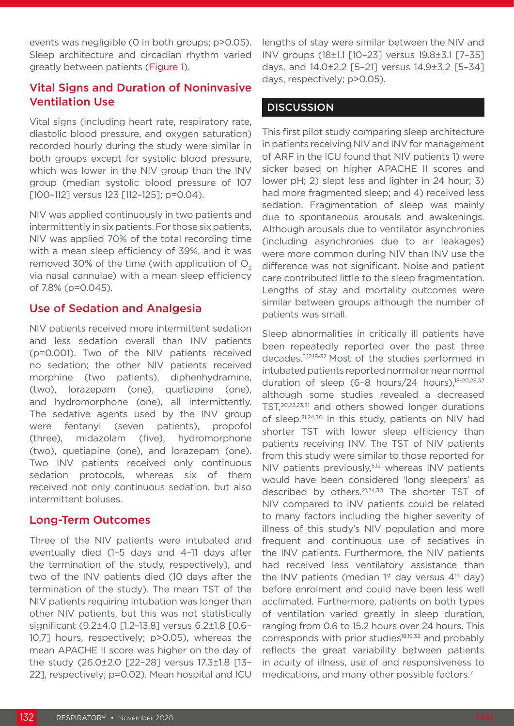events was negligible (0 in both groups; p>0.05). Sleep architecture and circadian rhythm varied greatly between patients (Figure 1).

#### Vital Signs and Duration of Noninvasive Ventilation Use

Vital signs (including heart rate, respiratory rate, diastolic blood pressure, and oxygen saturation) recorded hourly during the study were similar in both groups except for systolic blood pressure, which was lower in the NIV group than the INV group (median systolic blood pressure of 107 [100-112] versus 123 [112-125]; p=0.04).

NIV was applied continuously in two patients and intermittently in six patients. For those six patients, NIV was applied 70% of the total recording time with a mean sleep efficiency of 39%, and it was removed 30% of the time (with application of  $O<sub>2</sub>$ via nasal cannulae) with a mean sleep efficiency of 7.8% (p=0.045).

#### Use of Sedation and Analgesia

NIV patients received more intermittent sedation and less sedation overall than INV patients (p=0.001). Two of the NIV patients received no sedation; the other NIV patients received morphine (two patients), diphenhydramine, (two), lorazepam (one), quetiapine (one), and hydromorphone (one), all intermittently. The sedative agents used by the INV group were fentanyl (seven patients), propofol (three), midazolam (five), hydromorphone (two), quetiapine (one), and lorazepam (one). Two INV patients received only continuous sedation protocols, whereas six of them received not only continuous sedation, but also intermittent boluses.

#### Long-Term Outcomes

Three of the NIV patients were intubated and eventually died (1–5 days and 4–11 days after the termination of the study, respectively), and two of the INV patients died (10 days after the termination of the study). The mean TST of the NIV patients requiring intubation was longer than other NIV patients, but this was not statistically significant (9.2±4.0 [1.2–13.8] versus 6.2±1.8 [0.6– 10.7] hours, respectively; p>0.05), whereas the mean APACHE II score was higher on the day of the study (26.0±2.0 [22–28] versus 17.3±1.8 [13– 22], respectively; p=0.02). Mean hospital and ICU

lengths of stay were similar between the NIV and INV groups (18±1.1 [10–23] versus 19.8±3.1 [7–35] days, and 14.0±2.2 [5–21] versus 14.9±3.2 [5–34] days, respectively; p>0.05).

### **DISCUSSION**

This first pilot study comparing sleep architecture in patients receiving NIV and INV for management of ARF in the ICU found that NIV patients 1) were sicker based on higher APACHE II scores and lower pH; 2) slept less and lighter in 24 hour; 3) had more fragmented sleep; and 4) received less sedation. Fragmentation of sleep was mainly due to spontaneous arousals and awakenings. Although arousals due to ventilator asynchronies (including asynchronies due to air leakages) were more common during NIV than INV use the difference was not significant. Noise and patient care contributed little to the sleep fragmentation. Lengths of stay and mortality outcomes were similar between groups although the number of patients was small.

Sleep abnormalities in critically ill patients have been repeatedly reported over the past three decades.5,12,18-32 Most of the studies performed in intubated patients reported normal or near normal duration of sleep (6-8 hours/24 hours),<sup>18-20,28,32</sup> although some studies revealed a decreased TST,20,22,23,31 and others showed longer durations of sleep.<sup>21,24,30</sup> In this study, patients on NIV had shorter TST with lower sleep efficiency than patients receiving INV. The TST of NIV patients from this study were similar to those reported for NIV patients previously,5,12 whereas INV patients would have been considered 'long sleepers' as described by others.21,24,30 The shorter TST of NIV compared to INV patients could be related to many factors including the higher severity of illness of this study's NIV population and more frequent and continuous use of sedatives in the INV patients. Furthermore, the NIV patients had received less ventilatory assistance than the INV patients (median  $1<sup>st</sup>$  day versus  $4<sup>th</sup>$  day) before enrolment and could have been less well acclimated. Furthermore, patients on both types of ventilation varied greatly in sleep duration, ranging from 0.6 to 15.2 hours over 24 hours. This corresponds with prior studies<sup>18,19,32</sup> and probably reflects the great variability between patients in acuity of illness, use of and responsiveness to medications, and many other possible factors.7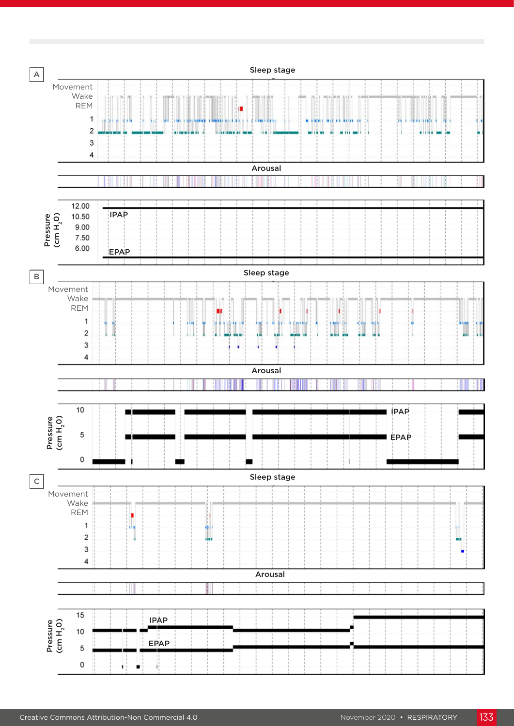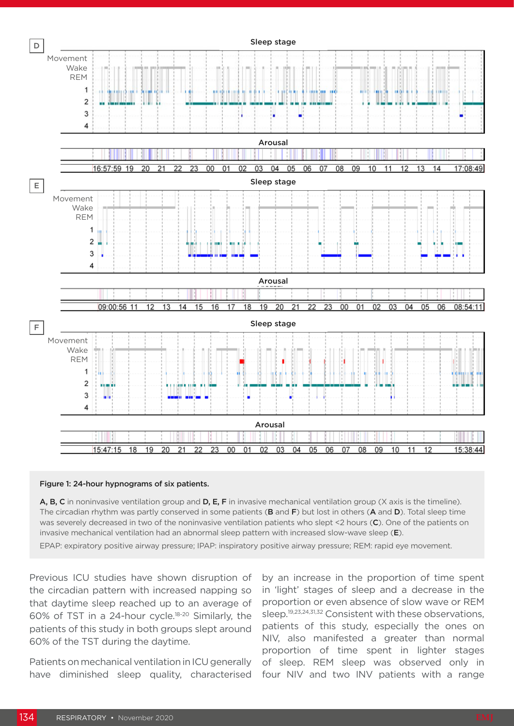

#### Figure 1: 24-hour hypnograms of six patients.

A, B, C in noninvasive ventilation group and D, E, F in invasive mechanical ventilation group (X axis is the timeline). The circadian rhythm was partly conserved in some patients (B and F) but lost in others (A and D). Total sleep time was severely decreased in two of the noninvasive ventilation patients who slept <2 hours (C). One of the patients on invasive mechanical ventilation had an abnormal sleep pattern with increased slow-wave sleep (E). EPAP: expiratory positive airway pressure; IPAP: inspiratory positive airway pressure; REM: rapid eye movement.

Previous ICU studies have shown disruption of the circadian pattern with increased napping so that daytime sleep reached up to an average of 60% of TST in a 24-hour cycle.18-20 Similarly, the patients of this study in both groups slept around 60% of the TST during the daytime.

Patients on mechanical ventilation in ICU generally have diminished sleep quality, characterised

by an increase in the proportion of time spent in 'light' stages of sleep and a decrease in the proportion or even absence of slow wave or REM sleep.19,23,24,31,32 Consistent with these observations, patients of this study, especially the ones on NIV, also manifested a greater than normal proportion of time spent in lighter stages of sleep. REM sleep was observed only in four NIV and two INV patients with a range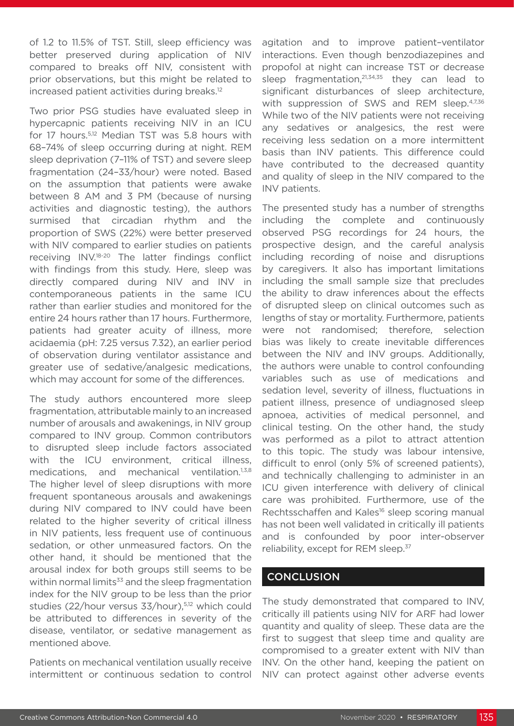of 1.2 to 11.5% of TST. Still, sleep efficiency was better preserved during application of NIV compared to breaks off NIV, consistent with prior observations, but this might be related to increased patient activities during breaks.12

Two prior PSG studies have evaluated sleep in hypercapnic patients receiving NIV in an ICU for 17 hours.<sup>5,12</sup> Median TST was 5.8 hours with 68–74% of sleep occurring during at night. REM sleep deprivation (7–11% of TST) and severe sleep fragmentation (24–33/hour) were noted. Based on the assumption that patients were awake between 8 AM and 3 PM (because of nursing activities and diagnostic testing), the authors surmised that circadian rhythm and the proportion of SWS (22%) were better preserved with NIV compared to earlier studies on patients receiving INV.18-20 The latter findings conflict with findings from this study. Here, sleep was directly compared during NIV and INV in contemporaneous patients in the same ICU rather than earlier studies and monitored for the entire 24 hours rather than 17 hours. Furthermore, patients had greater acuity of illness, more acidaemia (pH: 7.25 versus 7.32), an earlier period of observation during ventilator assistance and greater use of sedative/analgesic medications, which may account for some of the differences.

The study authors encountered more sleep fragmentation, attributable mainly to an increased number of arousals and awakenings, in NIV group compared to INV group. Common contributors to disrupted sleep include factors associated with the ICU environment, critical illness, medications, and mechanical ventilation.1,3,8 The higher level of sleep disruptions with more frequent spontaneous arousals and awakenings during NIV compared to INV could have been related to the higher severity of critical illness in NIV patients, less frequent use of continuous sedation, or other unmeasured factors. On the other hand, it should be mentioned that the arousal index for both groups still seems to be within normal limits<sup>33</sup> and the sleep fragmentation index for the NIV group to be less than the prior studies (22/hour versus 33/hour),<sup>5,12</sup> which could be attributed to differences in severity of the disease, ventilator, or sedative management as mentioned above.

Patients on mechanical ventilation usually receive intermittent or continuous sedation to control agitation and to improve patient–ventilator interactions. Even though benzodiazepines and propofol at night can increase TST or decrease sleep fragmentation,<sup>21,34,35</sup> they can lead to significant disturbances of sleep architecture, with suppression of SWS and REM sleep.<sup>4,7,36</sup> While two of the NIV patients were not receiving any sedatives or analgesics, the rest were receiving less sedation on a more intermittent basis than INV patients. This difference could have contributed to the decreased quantity and quality of sleep in the NIV compared to the INV patients.

The presented study has a number of strengths including the complete and continuously observed PSG recordings for 24 hours, the prospective design, and the careful analysis including recording of noise and disruptions by caregivers. It also has important limitations including the small sample size that precludes the ability to draw inferences about the effects of disrupted sleep on clinical outcomes such as lengths of stay or mortality. Furthermore, patients were not randomised; therefore, selection bias was likely to create inevitable differences between the NIV and INV groups. Additionally, the authors were unable to control confounding variables such as use of medications and sedation level, severity of illness, fluctuations in patient illness, presence of undiagnosed sleep apnoea, activities of medical personnel, and clinical testing. On the other hand, the study was performed as a pilot to attract attention to this topic. The study was labour intensive, difficult to enrol (only 5% of screened patients), and technically challenging to administer in an ICU given interference with delivery of clinical care was prohibited. Furthermore, use of the Rechtsschaffen and Kales<sup>16</sup> sleep scoring manual has not been well validated in critically ill patients and is confounded by poor inter-observer reliability, except for REM sleep.<sup>37</sup>

#### **CONCLUSION**

The study demonstrated that compared to INV, critically ill patients using NIV for ARF had lower quantity and quality of sleep. These data are the first to suggest that sleep time and quality are compromised to a greater extent with NIV than INV. On the other hand, keeping the patient on NIV can protect against other adverse events